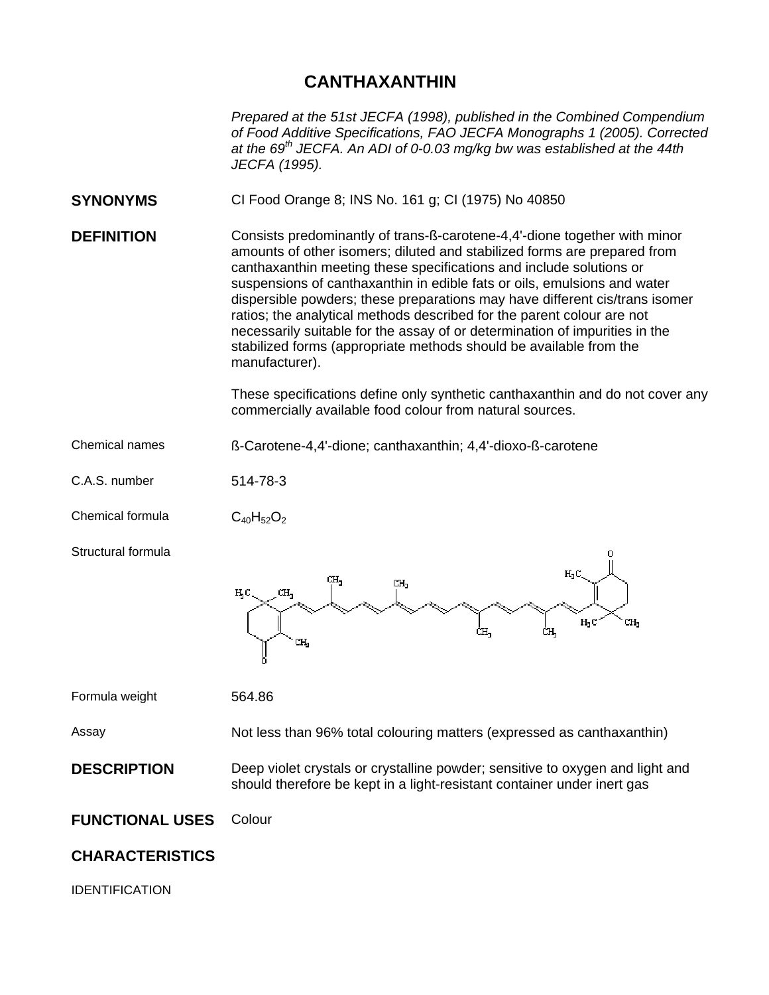## **CANTHAXANTHIN**

*Prepared at the 51st JECFA (1998), published in the Combined Compendium of Food Additive Specifications, FAO JECFA Monographs 1 (2005). Corrected at the 69th JECFA. An ADI of 0-0.03 mg/kg bw was established at the 44th JECFA (1995).* 

- **SYNONYMS** CI Food Orange 8; INS No. 161 g; CI (1975) No 40850
- **DEFINITION** Consists predominantly of trans-ß-carotene-4,4'-dione together with minor amounts of other isomers; diluted and stabilized forms are prepared from canthaxanthin meeting these specifications and include solutions or suspensions of canthaxanthin in edible fats or oils, emulsions and water dispersible powders; these preparations may have different cis/trans isomer ratios; the analytical methods described for the parent colour are not necessarily suitable for the assay of or determination of impurities in the stabilized forms (appropriate methods should be available from the manufacturer).

These specifications define only synthetic canthaxanthin and do not cover any commercially available food colour from natural sources.

Chemical names ß-Carotene-4,4'-dione; canthaxanthin; 4,4'-dioxo-ß-carotene

C.A.S. number 514-78-3

Chemical formula  $C_{40}H_{52}O_2$ 

Structural formula



Formula weight 564.86

Assay Not less than 96% total colouring matters (expressed as canthaxanthin)

**DESCRIPTION** Deep violet crystals or crystalline powder; sensitive to oxygen and light and should therefore be kept in a light-resistant container under inert gas

**FUNCTIONAL USES** Colour

## **CHARACTERISTICS**

IDENTIFICATION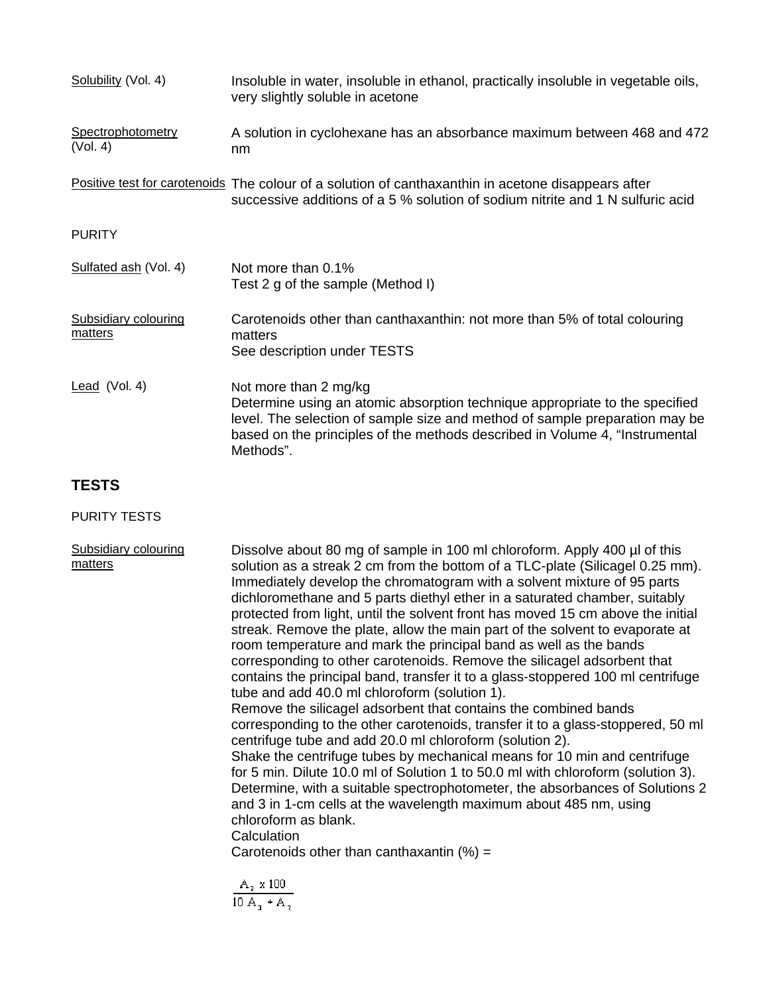| Solubility (Vol. 4)                    | Insoluble in water, insoluble in ethanol, practically insoluble in vegetable oils,<br>very slightly soluble in acetone                                                                                                                                                          |
|----------------------------------------|---------------------------------------------------------------------------------------------------------------------------------------------------------------------------------------------------------------------------------------------------------------------------------|
| Spectrophotometry<br>(Vol. 4)          | A solution in cyclohexane has an absorbance maximum between 468 and 472<br>nm                                                                                                                                                                                                   |
|                                        | Positive test for carotenoids The colour of a solution of canthaxanthin in acetone disappears after<br>successive additions of a 5 % solution of sodium nitrite and 1 N sulfuric acid                                                                                           |
| <b>PURITY</b>                          |                                                                                                                                                                                                                                                                                 |
| Sulfated ash (Vol. 4)                  | Not more than 0.1%<br>Test 2 g of the sample (Method I)                                                                                                                                                                                                                         |
| <b>Subsidiary colouring</b><br>matters | Carotenoids other than canthaxanthin: not more than 5% of total colouring<br>matters<br>See description under TESTS                                                                                                                                                             |
| Lead (Vol. 4)                          | Not more than 2 mg/kg<br>Determine using an atomic absorption technique appropriate to the specified<br>level. The selection of sample size and method of sample preparation may be<br>based on the principles of the methods described in Volume 4, "Instrumental<br>Methods". |

## **TESTS**

PURITY TESTS

Subsidiary colouring Dissolve about 80 mg of sample in 100 ml chloroform. Apply 400 µl of this matters solution as a streak 2 cm from the bottom of a TLC-plate (Silicagel 0.25 mm). Immediately develop the chromatogram with a solvent mixture of 95 parts dichloromethane and 5 parts diethyl ether in a saturated chamber, suitably protected from light, until the solvent front has moved 15 cm above the initial streak. Remove the plate, allow the main part of the solvent to evaporate at room temperature and mark the principal band as well as the bands corresponding to other carotenoids. Remove the silicagel adsorbent that contains the principal band, transfer it to a glass-stoppered 100 ml centrifuge tube and add 40.0 ml chloroform (solution 1). Remove the silicagel adsorbent that contains the combined bands corresponding to the other carotenoids, transfer it to a glass-stoppered, 50 ml centrifuge tube and add 20.0 ml chloroform (solution 2). Shake the centrifuge tubes by mechanical means for 10 min and centrifuge for 5 min. Dilute 10.0 ml of Solution 1 to 50.0 ml with chloroform (solution 3). Determine, with a suitable spectrophotometer, the absorbances of Solutions 2 and 3 in 1-cm cells at the wavelength maximum about 485 nm, using chloroform as blank. **Calculation** Carotenoids other than canthaxantin  $(%) =$  $\frac{A_2 \times 100}{10 A_1 + A_2}$